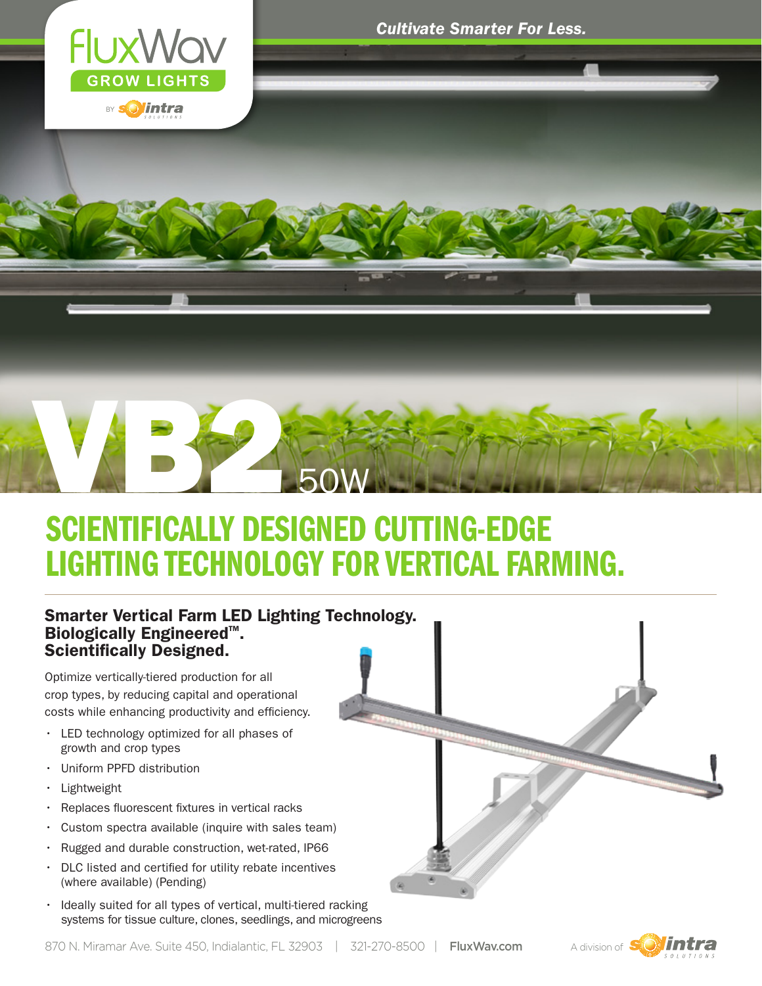

# RE ESTER  $50$

### SCIENTIFICALLY DESIGNED CUTTING-EDGE LIGHTING TECHNOLOGY FOR VERTICAL FARMING.

#### Smarter Vertical Farm LED Lighting Technology. **Biologically Engineered<sup>™</sup>.** Scientifically Designed.

Optimize vertically-tiered production for all crop types, by reducing capital and operational costs while enhancing productivity and efficiency.

- • LED technology optimized for all phases of growth and crop types
- • Uniform PPFD distribution
- • Lightweight
- • Replaces fluorescent fixtures in vertical racks
- Custom spectra available (inquire with sales team)
- • Rugged and durable construction, wet-rated, IP66
- DLC listed and certified for utility rebate incentives (where available) (Pending)
- Ideally suited for all types of vertical, multi-tiered racking systems for tissue culture, clones, seedlings, and microgreens